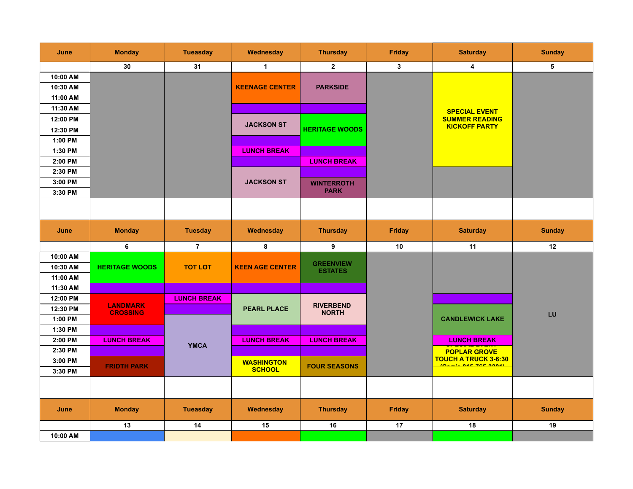| June     | <b>Monday</b>                      | <b>Tueasday</b>    | Wednesday                          | <b>Thursday</b>                    | <b>Friday</b> | <b>Saturday</b>                                      | <b>Sunday</b> |
|----------|------------------------------------|--------------------|------------------------------------|------------------------------------|---------------|------------------------------------------------------|---------------|
|          | 30                                 | 31                 | $\mathbf{1}$                       | $\overline{2}$                     | $\mathbf{3}$  | 4                                                    | 5             |
| 10:00 AM |                                    |                    |                                    |                                    |               |                                                      |               |
| 10:30 AM |                                    |                    | <b>KEENAGE CENTER</b>              | <b>PARKSIDE</b>                    |               |                                                      |               |
| 11:00 AM |                                    |                    |                                    |                                    |               |                                                      |               |
| 11:30 AM |                                    |                    |                                    |                                    |               | <b>SPECIAL EVENT</b>                                 |               |
| 12:00 PM |                                    |                    | <b>JACKSON ST</b>                  |                                    |               | <b>SUMMER READING</b><br><b>KICKOFF PARTY</b>        |               |
| 12:30 PM |                                    |                    |                                    | <b>HERITAGE WOODS</b>              |               |                                                      |               |
| 1:00 PM  |                                    |                    |                                    |                                    |               |                                                      |               |
| 1:30 PM  |                                    |                    | <b>LUNCH BREAK</b>                 |                                    |               |                                                      |               |
| 2:00 PM  |                                    |                    |                                    | <b>LUNCH BREAK</b>                 |               |                                                      |               |
| 2:30 PM  |                                    |                    |                                    |                                    |               |                                                      |               |
| 3:00 PM  |                                    |                    | <b>JACKSON ST</b>                  | <b>WINTERROTH</b>                  |               |                                                      |               |
| 3:30 PM  |                                    |                    |                                    | <b>PARK</b>                        |               |                                                      |               |
|          |                                    |                    |                                    |                                    |               |                                                      |               |
|          |                                    |                    |                                    |                                    |               |                                                      |               |
| June     | <b>Monday</b>                      | <b>Tuesday</b>     | Wednesday                          | <b>Thursday</b>                    | <b>Friday</b> | <b>Saturday</b>                                      | <b>Sunday</b> |
|          |                                    |                    |                                    |                                    |               |                                                      |               |
|          | 6                                  | $\overline{7}$     | 8                                  | 9                                  | 10            | 11                                                   | 12            |
| 10:00 AM |                                    |                    |                                    |                                    |               |                                                      |               |
| 10:30 AM | <b>HERITAGE WOODS</b>              | <b>TOT LOT</b>     | <b>KEEN AGE CENTER</b>             | <b>GREENVIEW</b><br><b>ESTATES</b> |               |                                                      |               |
| 11:00 AM |                                    |                    |                                    |                                    |               |                                                      |               |
| 11:30 AM |                                    |                    |                                    |                                    |               |                                                      |               |
| 12:00 PM |                                    | <b>LUNCH BREAK</b> |                                    |                                    |               |                                                      |               |
| 12:30 PM | <b>LANDMARK</b><br><b>CROSSING</b> |                    | <b>PEARL PLACE</b>                 | <b>RIVERBEND</b><br><b>NORTH</b>   |               |                                                      | LU            |
| 1:00 PM  |                                    |                    |                                    |                                    |               | <b>CANDLEWICK LAKE</b>                               |               |
| 1:30 PM  |                                    |                    |                                    |                                    |               |                                                      |               |
| 2:00 PM  | <b>LUNCH BREAK</b>                 | <b>YMCA</b>        | <b>LUNCH BREAK</b>                 | <b>LUNCH BREAK</b>                 |               | <b>LUNCH BREAK</b><br>_________________              |               |
| 2:30 PM  |                                    |                    |                                    |                                    |               | <b>POPLAR GROVE</b>                                  |               |
| 3:00 PM  | <b>FRIDTH PARK</b>                 |                    | <b>WASHINGTON</b><br><b>SCHOOL</b> | <b>FOUR SEASONS</b>                |               | <b>TOUCH A TRUCK 3-6:30</b><br>IR Suits OAR TOP BOAR |               |
| 3:30 PM  |                                    |                    |                                    |                                    |               |                                                      |               |
|          |                                    |                    |                                    |                                    |               |                                                      |               |
|          |                                    |                    |                                    |                                    |               |                                                      |               |
| June     | <b>Monday</b>                      | <b>Tueasday</b>    | Wednesday                          | <b>Thursday</b>                    | <b>Friday</b> | <b>Saturday</b>                                      | <b>Sunday</b> |
| 10:00 AM | 13                                 | 14                 | 15                                 | 16                                 | 17            | 18                                                   | 19            |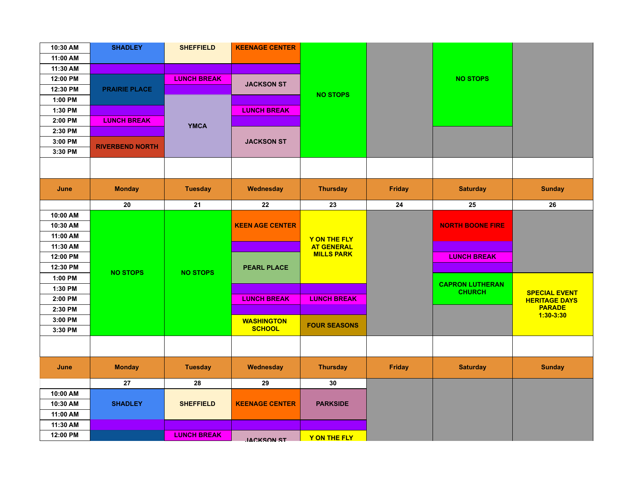| 10:30 AM | <b>SHADLEY</b>         | <b>SHEFFIELD</b>   | <b>KEENAGE CENTER</b>  |                     |               |                         |                              |
|----------|------------------------|--------------------|------------------------|---------------------|---------------|-------------------------|------------------------------|
| 11:00 AM |                        |                    |                        |                     |               |                         |                              |
| 11:30 AM |                        |                    |                        |                     |               |                         |                              |
| 12:00 PM |                        | <b>LUNCH BREAK</b> | <b>JACKSON ST</b>      |                     |               | <b>NO STOPS</b>         |                              |
| 12:30 PM | <b>PRAIRIE PLACE</b>   |                    |                        | <b>NO STOPS</b>     |               |                         |                              |
| 1:00 PM  |                        |                    |                        |                     |               |                         |                              |
| 1:30 PM  |                        |                    | <b>LUNCH BREAK</b>     |                     |               |                         |                              |
| 2:00 PM  | <b>LUNCH BREAK</b>     | <b>YMCA</b>        |                        |                     |               |                         |                              |
| 2:30 PM  |                        |                    |                        |                     |               |                         |                              |
| 3:00 PM  | <b>RIVERBEND NORTH</b> |                    | <b>JACKSON ST</b>      |                     |               |                         |                              |
| 3:30 PM  |                        |                    |                        |                     |               |                         |                              |
|          |                        |                    |                        |                     |               |                         |                              |
| June     | <b>Monday</b>          | <b>Tuesday</b>     | Wednesday              | <b>Thursday</b>     | <b>Friday</b> | <b>Saturday</b>         | <b>Sunday</b>                |
|          | 20                     | 21                 | 22                     | 23                  | 24            | 25                      | 26                           |
| 10:00 AM |                        |                    |                        |                     |               |                         |                              |
| 10:30 AM |                        |                    | <b>KEEN AGE CENTER</b> |                     |               | <b>NORTH BOONE FIRE</b> |                              |
| 11:00 AM |                        |                    |                        | Y ON THE FLY        |               |                         |                              |
| 11:30 AM |                        |                    |                        | <b>AT GENERAL</b>   |               |                         |                              |
| 12:00 PM |                        |                    |                        | <b>MILLS PARK</b>   |               | <b>LUNCH BREAK</b>      |                              |
| 12:30 PM | <b>NO STOPS</b>        | <b>NO STOPS</b>    | <b>PEARL PLACE</b>     |                     |               |                         |                              |
| 1:00 PM  |                        |                    |                        |                     |               | <b>CAPRON LUTHERAN</b>  |                              |
| 1:30 PM  |                        |                    |                        |                     |               | <b>CHURCH</b>           | <b>SPECIAL EVENT</b>         |
| 2:00 PM  |                        |                    | <b>LUNCH BREAK</b>     | <b>LUNCH BREAK</b>  |               |                         | <b>HERITAGE DAYS</b>         |
| 2:30 PM  |                        |                    |                        |                     |               |                         | <b>PARADE</b><br>$1:30-3:30$ |
| 3:00 PM  |                        |                    | <b>WASHINGTON</b>      | <b>FOUR SEASONS</b> |               |                         |                              |
| 3:30 PM  |                        |                    | <b>SCHOOL</b>          |                     |               |                         |                              |
|          |                        |                    |                        |                     |               |                         |                              |
| June     | <b>Monday</b>          | <b>Tuesday</b>     | Wednesday              | <b>Thursday</b>     | <b>Friday</b> | <b>Saturday</b>         | <b>Sunday</b>                |
|          |                        |                    |                        |                     |               |                         |                              |
|          | 27                     | 28                 | 29                     | 30                  |               |                         |                              |
| 10:00 AM |                        |                    |                        |                     |               |                         |                              |
| 10:30 AM | <b>SHADLEY</b>         | <b>SHEFFIELD</b>   | <b>KEENAGE CENTER</b>  | <b>PARKSIDE</b>     |               |                         |                              |
| 11:00 AM |                        |                    |                        |                     |               |                         |                              |
| 11:30 AM |                        |                    |                        |                     |               |                         |                              |
| 12:00 PM |                        | <b>LUNCH BREAK</b> | <b>IACKSON ST</b>      | Y ON THE FLY        |               |                         |                              |